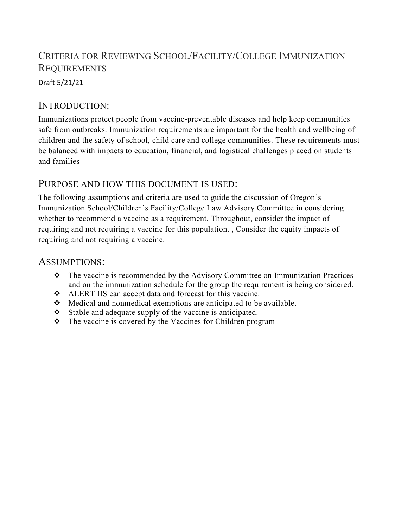# CRITERIA FOR REVIEWING SCHOOL/FACILITY/COLLEGE IMMUNIZATION **REQUIREMENTS**

Draft 5/21/21

### INTRODUCTION:

Immunizations protect people from vaccine-preventable diseases and help keep communities safe from outbreaks. Immunization requirements are important for the health and wellbeing of children and the safety of school, child care and college communities. These requirements must be balanced with impacts to education, financial, and logistical challenges placed on students and families

### PURPOSE AND HOW THIS DOCUMENT IS USED:

The following assumptions and criteria are used to guide the discussion of Oregon's Immunization School/Children's Facility/College Law Advisory Committee in considering whether to recommend a vaccine as a requirement. Throughout, consider the impact of requiring and not requiring a vaccine for this population. , Consider the equity impacts of requiring and not requiring a vaccine.

#### ASSUMPTIONS:

- The vaccine is recommended by the Advisory Committee on Immunization Practices and on the immunization schedule for the group the requirement is being considered.
- ALERT IIS can accept data and forecast for this vaccine.
- Medical and nonmedical exemptions are anticipated to be available.
- $\div$  Stable and adequate supply of the vaccine is anticipated.
- The vaccine is covered by the Vaccines for Children program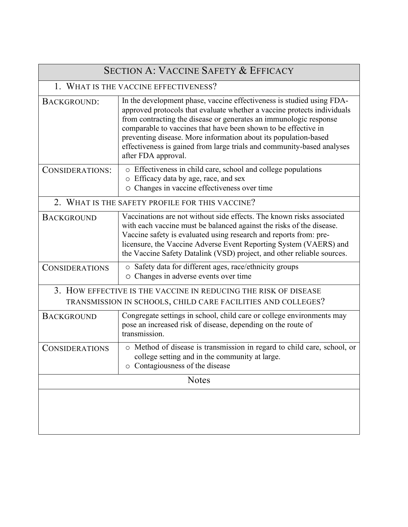| <b>SECTION A: VACCINE SAFETY &amp; EFFICACY</b>                                                                                 |                                                                                                                                                                                                                                                                                                                                                                                                                                                             |  |
|---------------------------------------------------------------------------------------------------------------------------------|-------------------------------------------------------------------------------------------------------------------------------------------------------------------------------------------------------------------------------------------------------------------------------------------------------------------------------------------------------------------------------------------------------------------------------------------------------------|--|
| 1. WHAT IS THE VACCINE EFFECTIVENESS?                                                                                           |                                                                                                                                                                                                                                                                                                                                                                                                                                                             |  |
| <b>BACKGROUND:</b>                                                                                                              | In the development phase, vaccine effectiveness is studied using FDA-<br>approved protocols that evaluate whether a vaccine protects individuals<br>from contracting the disease or generates an immunologic response<br>comparable to vaccines that have been shown to be effective in<br>preventing disease. More information about its population-based<br>effectiveness is gained from large trials and community-based analyses<br>after FDA approval. |  |
| CONSIDERATIONS:                                                                                                                 | o Effectiveness in child care, school and college populations<br>o Efficacy data by age, race, and sex<br>O Changes in vaccine effectiveness over time                                                                                                                                                                                                                                                                                                      |  |
| 2. WHAT IS THE SAFETY PROFILE FOR THIS VACCINE?                                                                                 |                                                                                                                                                                                                                                                                                                                                                                                                                                                             |  |
| <b>BACKGROUND</b>                                                                                                               | Vaccinations are not without side effects. The known risks associated<br>with each vaccine must be balanced against the risks of the disease.<br>Vaccine safety is evaluated using research and reports from: pre-<br>licensure, the Vaccine Adverse Event Reporting System (VAERS) and<br>the Vaccine Safety Datalink (VSD) project, and other reliable sources.                                                                                           |  |
| <b>CONSIDERATIONS</b>                                                                                                           | o Safety data for different ages, race/ethnicity groups<br>O Changes in adverse events over time                                                                                                                                                                                                                                                                                                                                                            |  |
| 3. HOW EFFECTIVE IS THE VACCINE IN REDUCING THE RISK OF DISEASE<br>TRANSMISSION IN SCHOOLS, CHILD CARE FACILITIES AND COLLEGES? |                                                                                                                                                                                                                                                                                                                                                                                                                                                             |  |
| <b>BACKGROUND</b>                                                                                                               | Congregate settings in school, child care or college environments may<br>pose an increased risk of disease, depending on the route of<br>transmission.                                                                                                                                                                                                                                                                                                      |  |
| <b>CONSIDERATIONS</b>                                                                                                           | o Method of disease is transmission in regard to child care, school, or<br>college setting and in the community at large.<br>o Contagiousness of the disease                                                                                                                                                                                                                                                                                                |  |
| <b>Notes</b>                                                                                                                    |                                                                                                                                                                                                                                                                                                                                                                                                                                                             |  |
|                                                                                                                                 |                                                                                                                                                                                                                                                                                                                                                                                                                                                             |  |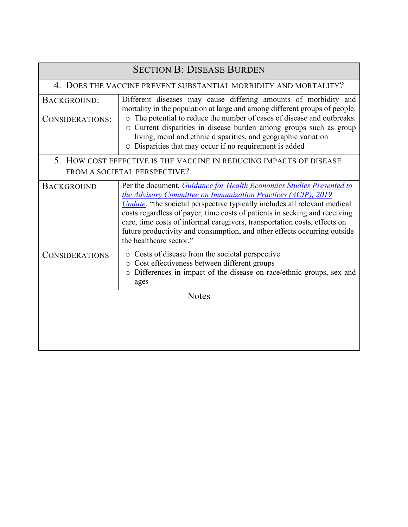| <b>SECTION B: DISEASE BURDEN</b>                                    |                                                                                                                                                                                                                                                                                                                                                                                                                                                                                              |  |
|---------------------------------------------------------------------|----------------------------------------------------------------------------------------------------------------------------------------------------------------------------------------------------------------------------------------------------------------------------------------------------------------------------------------------------------------------------------------------------------------------------------------------------------------------------------------------|--|
| 4. DOES THE VACCINE PREVENT SUBSTANTIAL MORBIDITY AND MORTALITY?    |                                                                                                                                                                                                                                                                                                                                                                                                                                                                                              |  |
| BACKGROUND:                                                         | Different diseases may cause differing amounts of morbidity and<br>mortality in the population at large and among different groups of people.                                                                                                                                                                                                                                                                                                                                                |  |
| CONSIDERATIONS:                                                     | The potential to reduce the number of cases of disease and outbreaks.<br>O Current disparities in disease burden among groups such as group<br>living, racial and ethnic disparities, and geographic variation<br>O Disparities that may occur if no requirement is added                                                                                                                                                                                                                    |  |
| 5. HOW COST EFFECTIVE IS THE VACCINE IN REDUCING IMPACTS OF DISEASE |                                                                                                                                                                                                                                                                                                                                                                                                                                                                                              |  |
|                                                                     | FROM A SOCIETAL PERSPECTIVE?                                                                                                                                                                                                                                                                                                                                                                                                                                                                 |  |
| <b>BACKGROUND</b>                                                   | Per the document, Guidance for Health Economics Studies Presented to<br>the Advisory Committee on Immunization Practices (ACIP), 2019<br><i>Update</i> , "the societal perspective typically includes all relevant medical<br>costs regardless of payer, time costs of patients in seeking and receiving<br>care, time costs of informal caregivers, transportation costs, effects on<br>future productivity and consumption, and other effects occurring outside<br>the healthcare sector." |  |
| <b>CONSIDERATIONS</b>                                               | o Costs of disease from the societal perspective<br>o Cost effectiveness between different groups<br>o Differences in impact of the disease on race/ethnic groups, sex and<br>ages                                                                                                                                                                                                                                                                                                           |  |
| <b>Notes</b>                                                        |                                                                                                                                                                                                                                                                                                                                                                                                                                                                                              |  |
|                                                                     |                                                                                                                                                                                                                                                                                                                                                                                                                                                                                              |  |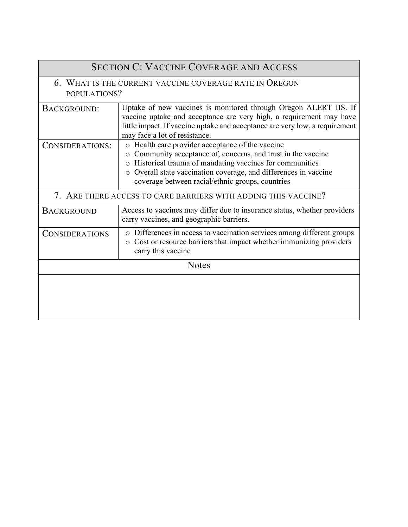| <b>SECTION C: VACCINE COVERAGE AND ACCESS</b>                          |                                                                                                                                                                                                                                                                                                                          |  |
|------------------------------------------------------------------------|--------------------------------------------------------------------------------------------------------------------------------------------------------------------------------------------------------------------------------------------------------------------------------------------------------------------------|--|
| 6. WHAT IS THE CURRENT VACCINE COVERAGE RATE IN OREGON<br>POPULATIONS? |                                                                                                                                                                                                                                                                                                                          |  |
| <b>BACKGROUND:</b>                                                     | Uptake of new vaccines is monitored through Oregon ALERT IIS. If<br>vaccine uptake and acceptance are very high, a requirement may have<br>little impact. If vaccine uptake and acceptance are very low, a requirement<br>may face a lot of resistance.                                                                  |  |
| CONSIDERATIONS:                                                        | o Health care provider acceptance of the vaccine<br>Community acceptance of, concerns, and trust in the vaccine<br>$\circ$<br>Historical trauma of mandating vaccines for communities<br>$\circ$<br>o Overall state vaccination coverage, and differences in vaccine<br>coverage between racial/ethnic groups, countries |  |
| 7. ARE THERE ACCESS TO CARE BARRIERS WITH ADDING THIS VACCINE?         |                                                                                                                                                                                                                                                                                                                          |  |
| <b>BACKGROUND</b>                                                      | Access to vaccines may differ due to insurance status, whether providers<br>carry vaccines, and geographic barriers.                                                                                                                                                                                                     |  |
| <b>CONSIDERATIONS</b>                                                  | o Differences in access to vaccination services among different groups<br>o Cost or resource barriers that impact whether immunizing providers<br>carry this vaccine                                                                                                                                                     |  |
| <b>Notes</b>                                                           |                                                                                                                                                                                                                                                                                                                          |  |
|                                                                        |                                                                                                                                                                                                                                                                                                                          |  |